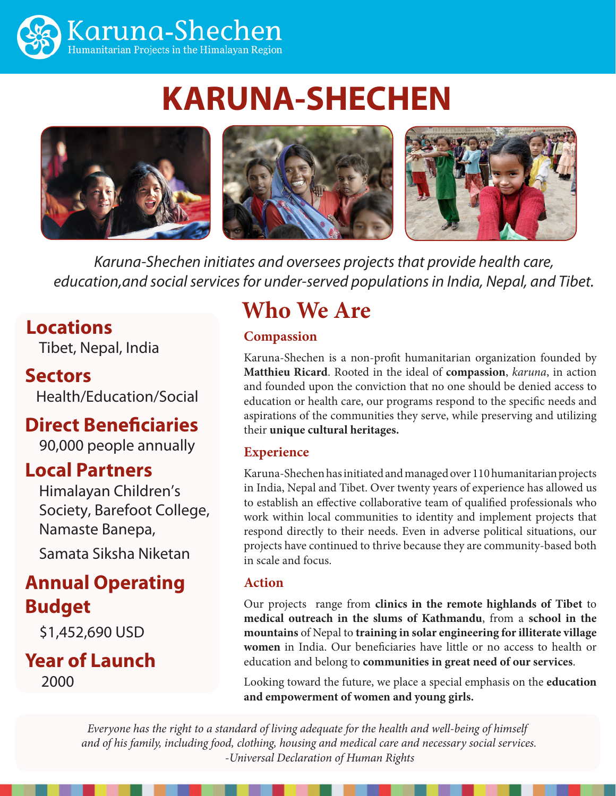

# **KARUNA-SHECHEN**



*Karuna-Shechen initiates and oversees projects that provide health care, education,and social services for under-served populations in India, Nepal, and Tibet.* 

### **Locations**

Tibet, Nepal, India

### **Sectors**

Health/Education/Social

### **Direct Beneficiaries**

90,000 people annually

### **Local Partners**

Himalayan Children's Society, Barefoot College, Namaste Banepa,

Samata Siksha Niketan

### **Annual Operating Budget**

\$1,452,690 USD

**Year of Launch** 2000

# **Who We Are**

### **Compassion**

Karuna-Shechen is a non-profit humanitarian organization founded by **Matthieu Ricard**. Rooted in the ideal of **compassion**, *karuna*, in action and founded upon the conviction that no one should be denied access to education or health care, our programs respond to the specific needs and aspirations of the communities they serve, while preserving and utilizing their **unique cultural heritages.** 

### **Experience**

Karuna-Shechen has initiated and managed over 110 humanitarian projects in India, Nepal and Tibet. Over twenty years of experience has allowed us to establish an effective collaborative team of qualified professionals who work within local communities to identity and implement projects that respond directly to their needs. Even in adverse political situations, our projects have continued to thrive because they are community-based both in scale and focus.

### **Action**

Our projects range from **clinics in the remote highlands of Tibet** to **medical outreach in the slums of Kathmandu**, from a **school in the mountains** of Nepal to **training in solar engineering for illiterate village women** in India. Our beneficiaries have little or no access to health or education and belong to **communities in great need of our services**.

Looking toward the future, we place a special emphasis on the **education and empowerment of women and young girls.** 

*Everyone has the right to a standard of living adequate for the health and well-being of himself and of his family, including food, clothing, housing and medical care and necessary social services. -Universal Declaration of Human Rights*